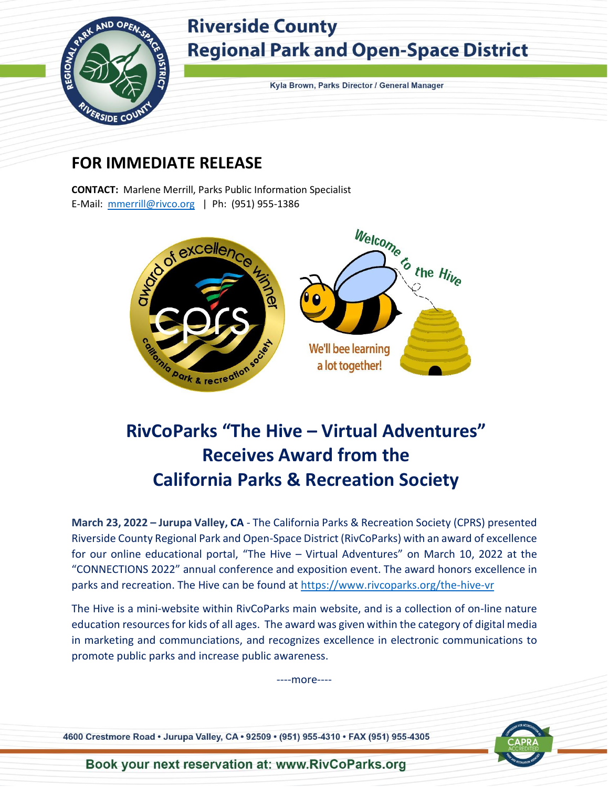

## **Riverside County Regional Park and Open-Space District**

Kyla Brown, Parks Director / General Manager

#### **FOR IMMEDIATE RELEASE**

**CONTACT:** Marlene Merrill, Parks Public Information Specialist E-Mail: [mmerrill@rivco.org](mailto:mmerrill@rivco.org) | Ph: (951) 955-1386



## **RivCoParks "The Hive – Virtual Adventures" Receives Award from the California Parks & Recreation Society**

**March 23, 2022 – Jurupa Valley, CA** - The California Parks & Recreation Society (CPRS) presented Riverside County Regional Park and Open-Space District (RivCoParks) with an award of excellence for our online educational portal, "The Hive – Virtual Adventures" on March 10, 2022 at the "CONNECTIONS 2022" annual conference and exposition event. The award honors excellence in parks and recreation. The Hive can be found at<https://www.rivcoparks.org/the-hive-vr>

The Hive is a mini-website within RivCoParks main website, and is a collection of on-line nature education resources for kids of all ages. The award was given within the category of digital media in marketing and communciations, and recognizes excellence in electronic communications to promote public parks and increase public awareness.

----more----

4600 Crestmore Road · Jurupa Valley, CA · 92509 · (951) 955-4310 · FAX (951) 955-4305



Book your next reservation at: www.RivCoParks.org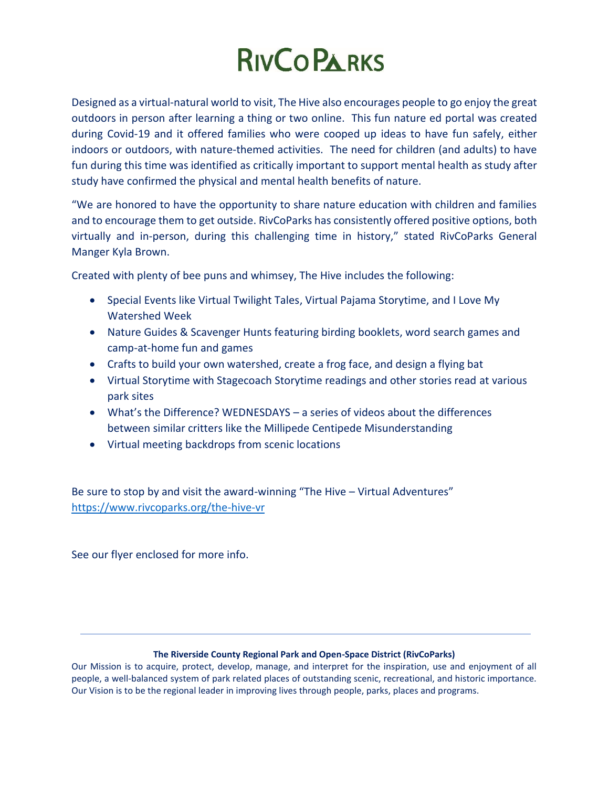# **RIVCO PARKS**

Designed as a virtual-natural world to visit, The Hive also encourages people to go enjoy the great outdoors in person after learning a thing or two online. This fun nature ed portal was created during Covid-19 and it offered families who were cooped up ideas to have fun safely, either indoors or outdoors, with nature-themed activities. The need for children (and adults) to have fun during this time was identified as critically important to support mental health as study after study have confirmed the physical and mental health benefits of nature.

"We are honored to have the opportunity to share nature education with children and families and to encourage them to get outside. RivCoParks has consistently offered positive options, both virtually and in-person, during this challenging time in history," stated RivCoParks General Manger Kyla Brown.

Created with plenty of bee puns and whimsey, The Hive includes the following:

- Special Events like Virtual Twilight Tales, Virtual Pajama Storytime, and I Love My Watershed Week
- Nature Guides & Scavenger Hunts featuring birding booklets, word search games and camp-at-home fun and games
- Crafts to build your own watershed, create a frog face, and design a flying bat
- Virtual Storytime with Stagecoach Storytime readings and other stories read at various park sites
- What's the Difference? WEDNESDAYS a series of videos about the differences between similar critters like the Millipede Centipede Misunderstanding
- Virtual meeting backdrops from scenic locations

Be sure to stop by and visit the award-winning "The Hive – Virtual Adventures" <https://www.rivcoparks.org/the-hive-vr>

See our flyer enclosed for more info.

#### **The Riverside County Regional Park and Open-Space District (RivCoParks)**

Our Mission is to acquire, protect, develop, manage, and interpret for the inspiration, use and enjoyment of all people, a well-balanced system of park related places of outstanding scenic, recreational, and historic importance. Our Vision is to be the regional leader in improving lives through people, parks, places and programs.